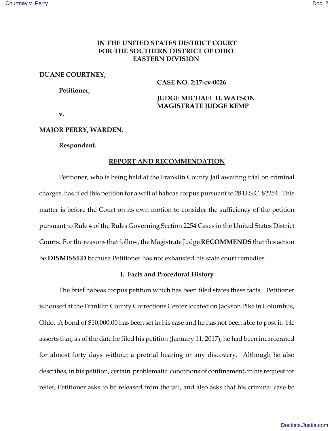# **IN THE UNITED STATES DISTRICT COURT FOR THE SOUTHERN DISTRICT OF OHIO EASTERN DIVISION**

# **DUANE COURTNEY,**

**CASE NO. 2:17-cv-0026**

# **Petitioner,**

 **JUDGE MICHAEL H. WATSON MAGISTRATE JUDGE KEMP**

**v.** 

# **MAJOR PERRY, WARDEN,**

### **Respondent.**

## **REPORT AND RECOMMENDATION**

Petitioner, who is being held at the Franklin County Jail awaiting trial on criminal charges, has filed this petition for a writ of habeas corpus pursuant to 28 U.S.C. §2254. This matter is before the Court on its own motion to consider the sufficiency of the petition pursuant to Rule 4 of the Rules Governing Section 2254 Cases in the United States District Courts. For the reasons that follow, the Magistrate Judge **RECOMMENDS** that this action be **DISMISSED** because Petitioner has not exhausted his state court remedies.

# **I. Facts and Procedural History**

The brief habeas corpus petition which has been filed states these facts. Petitioner is housed at the Franklin County Corrections Center located on Jackson Pike in Columbus, Ohio. A bond of \$10,000.00 has been set in his case and he has not been able to post it. He asserts that, as of the date he filed his petition (January 11, 2017), he had been incarcerated for almost forty days without a pretrial hearing or any discovery. Although he also describes, in his petition, certain problematic conditions of confinement, in his request for relief, Petitioner asks to be released from the jail, and also asks that his criminal case be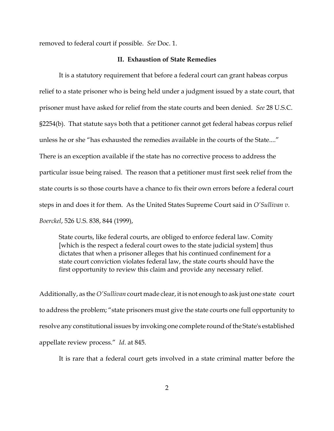removed to federal court if possible. *See* Doc. 1.

### **II. Exhaustion of State Remedies**

It is a statutory requirement that before a federal court can grant habeas corpus relief to a state prisoner who is being held under a judgment issued by a state court, that prisoner must have asked for relief from the state courts and been denied. *See* 28 U.S.C. §2254(b). That statute says both that a petitioner cannot get federal habeas corpus relief unless he or she "has exhausted the remedies available in the courts of the State...." There is an exception available if the state has no corrective process to address the particular issue being raised. The reason that a petitioner must first seek relief from the state courts is so those courts have a chance to fix their own errors before a federal court steps in and does it for them. As the United States Supreme Court said in *O'Sullivan v. Boerckel*, 526 U.S. 838, 844 (1999),

State courts, like federal courts, are obliged to enforce federal law. Comity [which is the respect a federal court owes to the state judicial system] thus dictates that when a prisoner alleges that his continued confinement for a state court conviction violates federal law, the state courts should have the first opportunity to review this claim and provide any necessary relief.

Additionally, as the *O'Sullivan* court made clear, it is not enough to ask just one state court to address the problem; "state prisoners must give the state courts one full opportunity to resolve any constitutional issues by invoking one complete round of the State's established appellate review process." *Id*. at 845.

It is rare that a federal court gets involved in a state criminal matter before the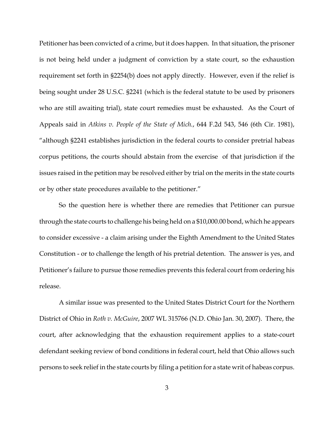Petitioner has been convicted of a crime, but it does happen. In that situation, the prisoner is not being held under a judgment of conviction by a state court, so the exhaustion requirement set forth in §2254(b) does not apply directly. However, even if the relief is being sought under 28 U.S.C. §2241 (which is the federal statute to be used by prisoners who are still awaiting trial), state court remedies must be exhausted. As the Court of Appeals said in *Atkins v. People of the State of Mich.*, 644 F.2d 543, 546 (6th Cir. 1981), "although §2241 establishes jurisdiction in the federal courts to consider pretrial habeas corpus petitions, the courts should abstain from the exercise of that jurisdiction if the issues raised in the petition may be resolved either by trial on the merits in the state courts or by other state procedures available to the petitioner."

So the question here is whether there are remedies that Petitioner can pursue through the state courts to challenge his being held on a \$10,000.00 bond, which he appears to consider excessive - a claim arising under the Eighth Amendment to the United States Constitution - or to challenge the length of his pretrial detention. The answer is yes, and Petitioner's failure to pursue those remedies prevents this federal court from ordering his release.

A similar issue was presented to the United States District Court for the Northern District of Ohio in *Roth v. McGuire*, 2007 WL 315766 (N.D. Ohio Jan. 30, 2007). There, the court, after acknowledging that the exhaustion requirement applies to a state-court defendant seeking review of bond conditions in federal court, held that Ohio allows such persons to seek relief in the state courts by filing a petition for a state writ of habeas corpus.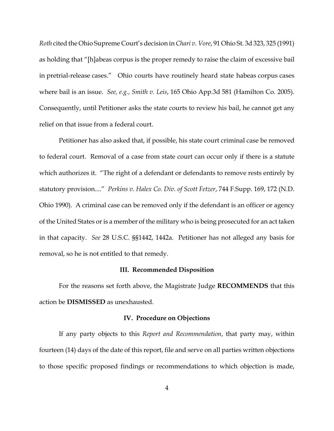*Roth* cited the Ohio Supreme Court's decision in *Chari v. Vore*, 91 Ohio St. 3d 323, 325 (1991) as holding that "[h]abeas corpus is the proper remedy to raise the claim of excessive bail in pretrial-release cases." Ohio courts have routinely heard state habeas corpus cases where bail is an issue. *See, e.g., Smith v. Leis*, 165 Ohio App.3d 581 (Hamilton Co. 2005). Consequently, until Petitioner asks the state courts to review his bail, he cannot get any relief on that issue from a federal court.

Petitioner has also asked that, if possible, his state court criminal case be removed to federal court. Removal of a case from state court can occur only if there is a statute which authorizes it. "The right of a defendant or defendants to remove rests entirely by statutory provision...." *Perkins v. Halex Co. Div. of Scott Fetzer*, 744 F.Supp. 169, 172 (N.D. Ohio 1990). A criminal case can be removed only if the defendant is an officer or agency of the United States or is a member of the military who is being prosecuted for an act taken in that capacity. *See* 28 U.S.C. §§1442, 1442a. Petitioner has not alleged any basis for removal, so he is not entitled to that remedy.

#### **III. Recommended Disposition**

For the reasons set forth above, the Magistrate Judge **RECOMMENDS** that this action be **DISMISSED** as unexhausted.

#### **IV. Procedure on Objections**

If any party objects to this *Report and Recommendation*, that party may, within fourteen (14) days of the date of this report, file and serve on all parties written objections to those specific proposed findings or recommendations to which objection is made,